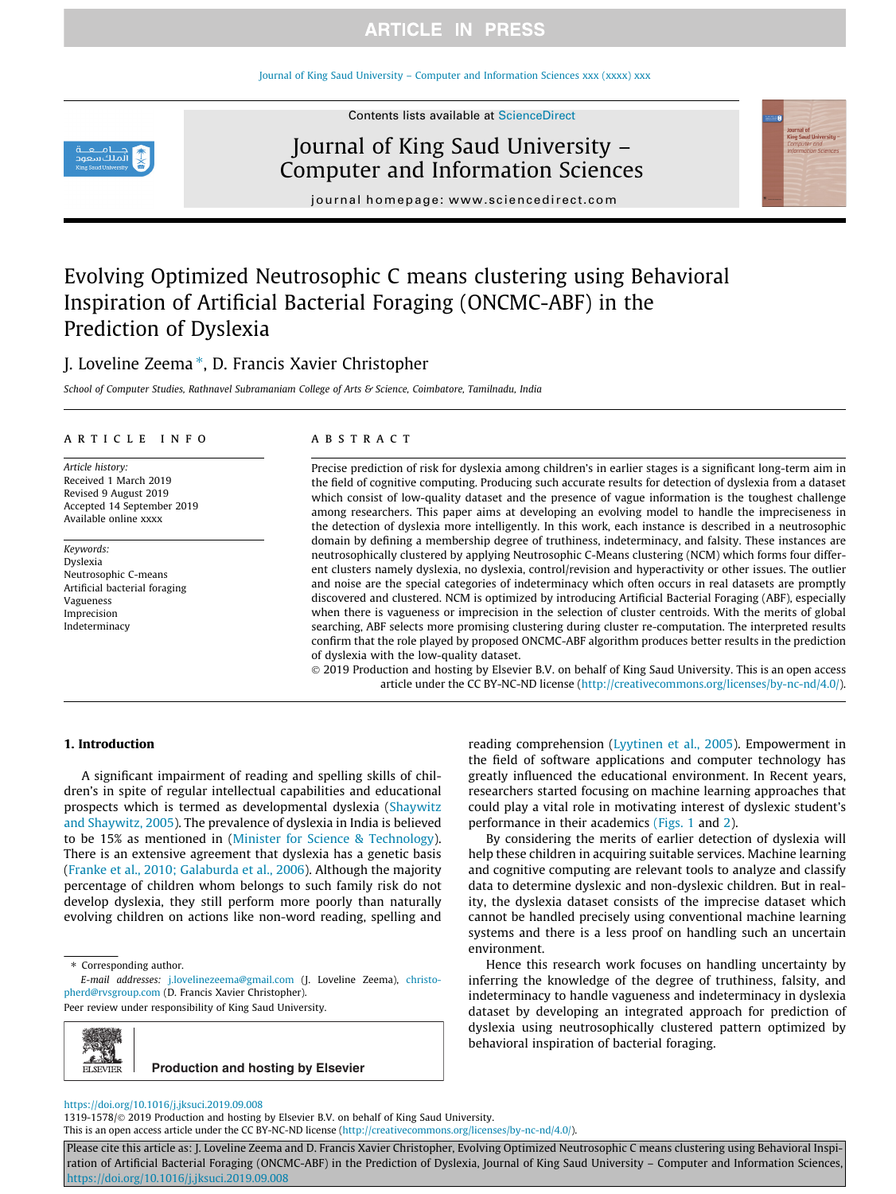#### [Journal of King Saud University – Computer and Information Sciences xxx \(xxxx\) xxx](https://doi.org/10.1016/j.jksuci.2019.09.008)





Journal of King Saud University – Computer and Information Sciences



journal homepage: [www.sciencedirect.com](http://www.sciencedirect.com)

# Evolving Optimized Neutrosophic C means clustering using Behavioral Inspiration of Artificial Bacterial Foraging (ONCMC-ABF) in the Prediction of Dyslexia

### J. Loveline Zeema \*, D. Francis Xavier Christopher

School of Computer Studies, Rathnavel Subramaniam College of Arts & Science, Coimbatore, Tamilnadu, India

#### article info

Article history: Received 1 March 2019 Revised 9 August 2019 Accepted 14 September 2019 Available online xxxx

Keywords: Dyslexia Neutrosophic C-means Artificial bacterial foraging Vagueness Imprecision Indeterminacy

#### **ABSTRACT**

Precise prediction of risk for dyslexia among children's in earlier stages is a significant long-term aim in the field of cognitive computing. Producing such accurate results for detection of dyslexia from a dataset which consist of low-quality dataset and the presence of vague information is the toughest challenge among researchers. This paper aims at developing an evolving model to handle the impreciseness in the detection of dyslexia more intelligently. In this work, each instance is described in a neutrosophic domain by defining a membership degree of truthiness, indeterminacy, and falsity. These instances are neutrosophically clustered by applying Neutrosophic C-Means clustering (NCM) which forms four different clusters namely dyslexia, no dyslexia, control/revision and hyperactivity or other issues. The outlier and noise are the special categories of indeterminacy which often occurs in real datasets are promptly discovered and clustered. NCM is optimized by introducing Artificial Bacterial Foraging (ABF), especially when there is vagueness or imprecision in the selection of cluster centroids. With the merits of global searching, ABF selects more promising clustering during cluster re-computation. The interpreted results confirm that the role played by proposed ONCMC-ABF algorithm produces better results in the prediction of dyslexia with the low-quality dataset.

 2019 Production and hosting by Elsevier B.V. on behalf of King Saud University. This is an open access article under the CC BY-NC-ND license (<http://creativecommons.org/licenses/by-nc-nd/4.0/>).

### 1. Introduction

A significant impairment of reading and spelling skills of children's in spite of regular intellectual capabilities and educational prospects which is termed as developmental dyslexia [\(Shaywitz](#page-5-0) [and Shaywitz, 2005\)](#page-5-0). The prevalence of dyslexia in India is believed to be 15% as mentioned in ([Minister for Science & Technology\)](#page-5-0). There is an extensive agreement that dyslexia has a genetic basis ([Franke et al., 2010; Galaburda et al., 2006\)](#page-5-0). Although the majority percentage of children whom belongs to such family risk do not develop dyslexia, they still perform more poorly than naturally evolving children on actions like non-word reading, spelling and

⇑ Corresponding author.

E-mail addresses: [j.lovelinezeema@gmail.com](mailto:j.lovelinezeema@gmail.com) (J. Loveline Zeema), [christo](mailto:christopherd@rvsgroup.com)[pherd@rvsgroup.com](mailto:christopherd@rvsgroup.com) (D. Francis Xavier Christopher).

Peer review under responsibility of King Saud University.

**Production and hosting by Elsevier ELSEVIER** 

reading comprehension [\(Lyytinen et al., 2005\)](#page-5-0). Empowerment in the field of software applications and computer technology has greatly influenced the educational environment. In Recent years, researchers started focusing on machine learning approaches that could play a vital role in motivating interest of dyslexic student's performance in their academics [\(Figs. 1](#page-2-0) and [2\)](#page-2-0).

By considering the merits of earlier detection of dyslexia will help these children in acquiring suitable services. Machine learning and cognitive computing are relevant tools to analyze and classify data to determine dyslexic and non-dyslexic children. But in reality, the dyslexia dataset consists of the imprecise dataset which cannot be handled precisely using conventional machine learning systems and there is a less proof on handling such an uncertain environment.

Hence this research work focuses on handling uncertainty by inferring the knowledge of the degree of truthiness, falsity, and indeterminacy to handle vagueness and indeterminacy in dyslexia dataset by developing an integrated approach for prediction of dyslexia using neutrosophically clustered pattern optimized by behavioral inspiration of bacterial foraging.

<https://doi.org/10.1016/j.jksuci.2019.09.008>

1319-1578/ 2019 Production and hosting by Elsevier B.V. on behalf of King Saud University.

This is an open access article under the CC BY-NC-ND license ([http://creativecommons.org/licenses/by-nc-nd/4.0/\)](http://creativecommons.org/licenses/by-nc-nd/4.0/).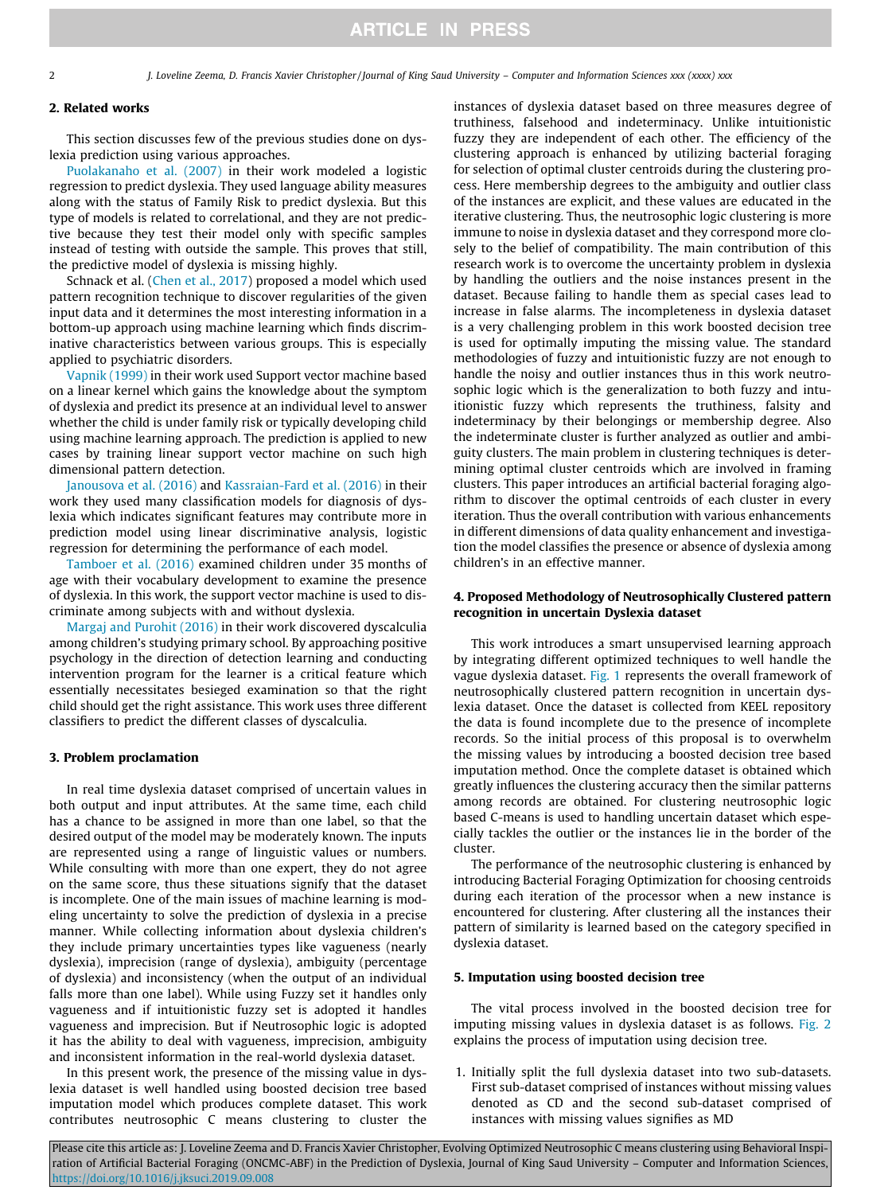### 2. Related works

This section discusses few of the previous studies done on dyslexia prediction using various approaches.

[Puolakanaho et al. \(2007\)](#page-5-0) in their work modeled a logistic regression to predict dyslexia. They used language ability measures along with the status of Family Risk to predict dyslexia. But this type of models is related to correlational, and they are not predictive because they test their model only with specific samples instead of testing with outside the sample. This proves that still, the predictive model of dyslexia is missing highly.

Schnack et al. [\(Chen et al., 2017\)](#page-5-0) proposed a model which used pattern recognition technique to discover regularities of the given input data and it determines the most interesting information in a bottom-up approach using machine learning which finds discriminative characteristics between various groups. This is especially applied to psychiatric disorders.

[Vapnik \(1999\)](#page-6-0) in their work used Support vector machine based on a linear kernel which gains the knowledge about the symptom of dyslexia and predict its presence at an individual level to answer whether the child is under family risk or typically developing child using machine learning approach. The prediction is applied to new cases by training linear support vector machine on such high dimensional pattern detection.

[Janousova et al. \(2016\)](#page-5-0) and [Kassraian-Fard et al. \(2016\)](#page-5-0) in their work they used many classification models for diagnosis of dyslexia which indicates significant features may contribute more in prediction model using linear discriminative analysis, logistic regression for determining the performance of each model.

[Tamboer et al. \(2016\)](#page-6-0) examined children under 35 months of age with their vocabulary development to examine the presence of dyslexia. In this work, the support vector machine is used to discriminate among subjects with and without dyslexia.

[Margaj and Purohit \(2016\)](#page-5-0) in their work discovered dyscalculia among children's studying primary school. By approaching positive psychology in the direction of detection learning and conducting intervention program for the learner is a critical feature which essentially necessitates besieged examination so that the right child should get the right assistance. This work uses three different classifiers to predict the different classes of dyscalculia.

#### 3. Problem proclamation

In real time dyslexia dataset comprised of uncertain values in both output and input attributes. At the same time, each child has a chance to be assigned in more than one label, so that the desired output of the model may be moderately known. The inputs are represented using a range of linguistic values or numbers. While consulting with more than one expert, they do not agree on the same score, thus these situations signify that the dataset is incomplete. One of the main issues of machine learning is modeling uncertainty to solve the prediction of dyslexia in a precise manner. While collecting information about dyslexia children's they include primary uncertainties types like vagueness (nearly dyslexia), imprecision (range of dyslexia), ambiguity (percentage of dyslexia) and inconsistency (when the output of an individual falls more than one label). While using Fuzzy set it handles only vagueness and if intuitionistic fuzzy set is adopted it handles vagueness and imprecision. But if Neutrosophic logic is adopted it has the ability to deal with vagueness, imprecision, ambiguity and inconsistent information in the real-world dyslexia dataset.

In this present work, the presence of the missing value in dyslexia dataset is well handled using boosted decision tree based imputation model which produces complete dataset. This work contributes neutrosophic C means clustering to cluster the instances of dyslexia dataset based on three measures degree of truthiness, falsehood and indeterminacy. Unlike intuitionistic fuzzy they are independent of each other. The efficiency of the clustering approach is enhanced by utilizing bacterial foraging for selection of optimal cluster centroids during the clustering process. Here membership degrees to the ambiguity and outlier class of the instances are explicit, and these values are educated in the iterative clustering. Thus, the neutrosophic logic clustering is more immune to noise in dyslexia dataset and they correspond more closely to the belief of compatibility. The main contribution of this research work is to overcome the uncertainty problem in dyslexia by handling the outliers and the noise instances present in the dataset. Because failing to handle them as special cases lead to increase in false alarms. The incompleteness in dyslexia dataset is a very challenging problem in this work boosted decision tree is used for optimally imputing the missing value. The standard methodologies of fuzzy and intuitionistic fuzzy are not enough to handle the noisy and outlier instances thus in this work neutrosophic logic which is the generalization to both fuzzy and intuitionistic fuzzy which represents the truthiness, falsity and indeterminacy by their belongings or membership degree. Also the indeterminate cluster is further analyzed as outlier and ambiguity clusters. The main problem in clustering techniques is determining optimal cluster centroids which are involved in framing clusters. This paper introduces an artificial bacterial foraging algorithm to discover the optimal centroids of each cluster in every iteration. Thus the overall contribution with various enhancements in different dimensions of data quality enhancement and investigation the model classifies the presence or absence of dyslexia among children's in an effective manner.

### 4. Proposed Methodology of Neutrosophically Clustered pattern recognition in uncertain Dyslexia dataset

This work introduces a smart unsupervised learning approach by integrating different optimized techniques to well handle the vague dyslexia dataset. [Fig. 1](#page-2-0) represents the overall framework of neutrosophically clustered pattern recognition in uncertain dyslexia dataset. Once the dataset is collected from KEEL repository the data is found incomplete due to the presence of incomplete records. So the initial process of this proposal is to overwhelm the missing values by introducing a boosted decision tree based imputation method. Once the complete dataset is obtained which greatly influences the clustering accuracy then the similar patterns among records are obtained. For clustering neutrosophic logic based C-means is used to handling uncertain dataset which especially tackles the outlier or the instances lie in the border of the cluster.

The performance of the neutrosophic clustering is enhanced by introducing Bacterial Foraging Optimization for choosing centroids during each iteration of the processor when a new instance is encountered for clustering. After clustering all the instances their pattern of similarity is learned based on the category specified in dyslexia dataset.

#### 5. Imputation using boosted decision tree

The vital process involved in the boosted decision tree for imputing missing values in dyslexia dataset is as follows. [Fig. 2](#page-2-0) explains the process of imputation using decision tree.

1. Initially split the full dyslexia dataset into two sub-datasets. First sub-dataset comprised of instances without missing values denoted as CD and the second sub-dataset comprised of instances with missing values signifies as MD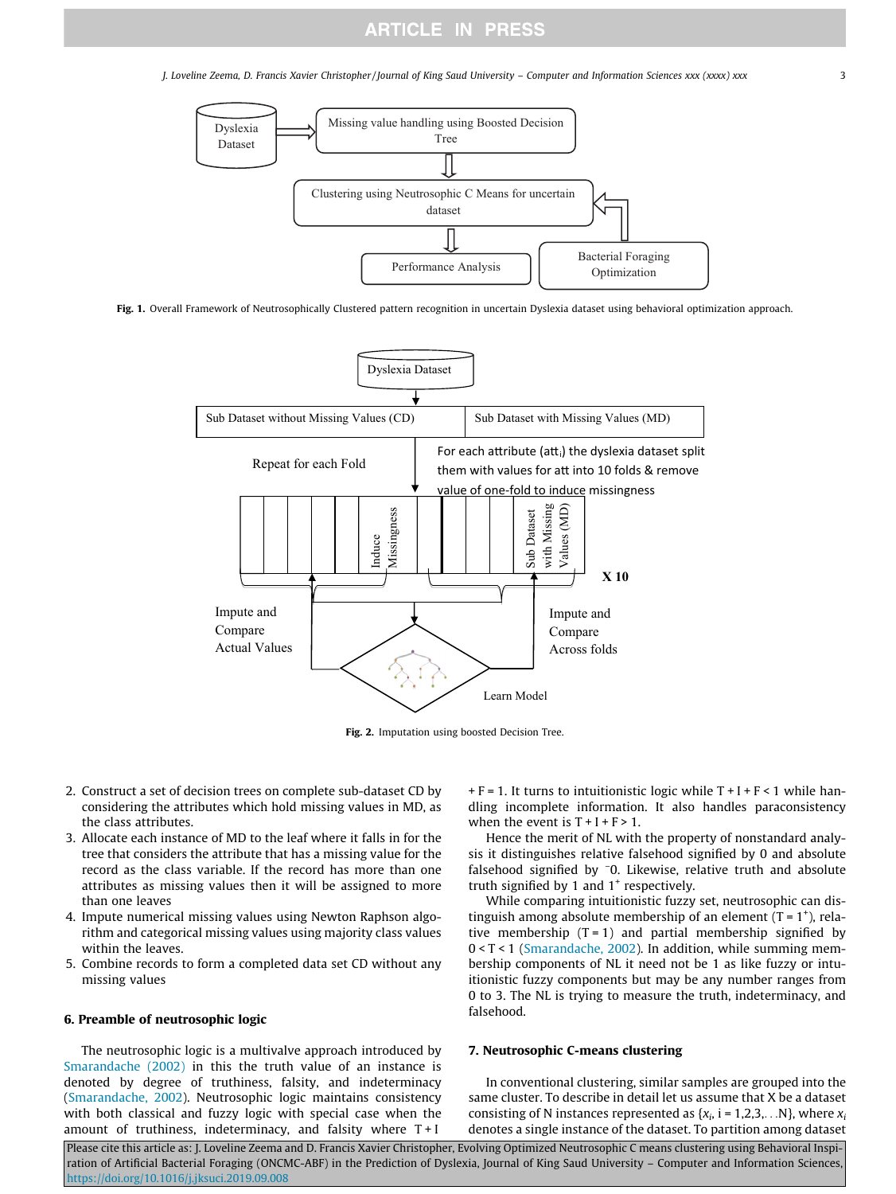<span id="page-2-0"></span>J. Loveline Zeema, D. Francis Xavier Christopher / Journal of King Saud University – Computer and Information Sciences xxx (xxxx) xxx 3



Fig. 1. Overall Framework of Neutrosophically Clustered pattern recognition in uncertain Dyslexia dataset using behavioral optimization approach.



Fig. 2. Imputation using boosted Decision Tree.

- 2. Construct a set of decision trees on complete sub-dataset CD by considering the attributes which hold missing values in MD, as the class attributes.
- 3. Allocate each instance of MD to the leaf where it falls in for the tree that considers the attribute that has a missing value for the record as the class variable. If the record has more than one attributes as missing values then it will be assigned to more than one leaves
- 4. Impute numerical missing values using Newton Raphson algorithm and categorical missing values using majority class values within the leaves.
- 5. Combine records to form a completed data set CD without any missing values

#### 6. Preamble of neutrosophic logic

The neutrosophic logic is a multivalve approach introduced by [Smarandache \(2002\)](#page-5-0) in this the truth value of an instance is denoted by degree of truthiness, falsity, and indeterminacy ([Smarandache, 2002](#page-5-0)). Neutrosophic logic maintains consistency with both classical and fuzzy logic with special case when the amount of truthiness, indeterminacy, and falsity where  $T + I$ 

 $+F = 1$ . It turns to intuitionistic logic while  $T + I + F < 1$  while handling incomplete information. It also handles paraconsistency when the event is  $T + I + F > 1$ .

Hence the merit of NL with the property of nonstandard analysis it distinguishes relative falsehood signified by 0 and absolute falsehood signified by <sup>-</sup>0. Likewise, relative truth and absolute truth signified by 1 and  $1^+$  respectively.

While comparing intuitionistic fuzzy set, neutrosophic can distinguish among absolute membership of an element  $(T = 1^+)$ , relative membership  $(T = 1)$  and partial membership signified by 0<T<1 [\(Smarandache, 2002\)](#page-6-0). In addition, while summing membership components of NL it need not be 1 as like fuzzy or intuitionistic fuzzy components but may be any number ranges from 0 to 3. The NL is trying to measure the truth, indeterminacy, and falsehood.

#### 7. Neutrosophic C-means clustering

In conventional clustering, similar samples are grouped into the same cluster. To describe in detail let us assume that X be a dataset consisting of N instances represented as  $\{x_i, i = 1, 2, 3, \ldots\}$ , where  $x_i$ denotes a single instance of the dataset. To partition among dataset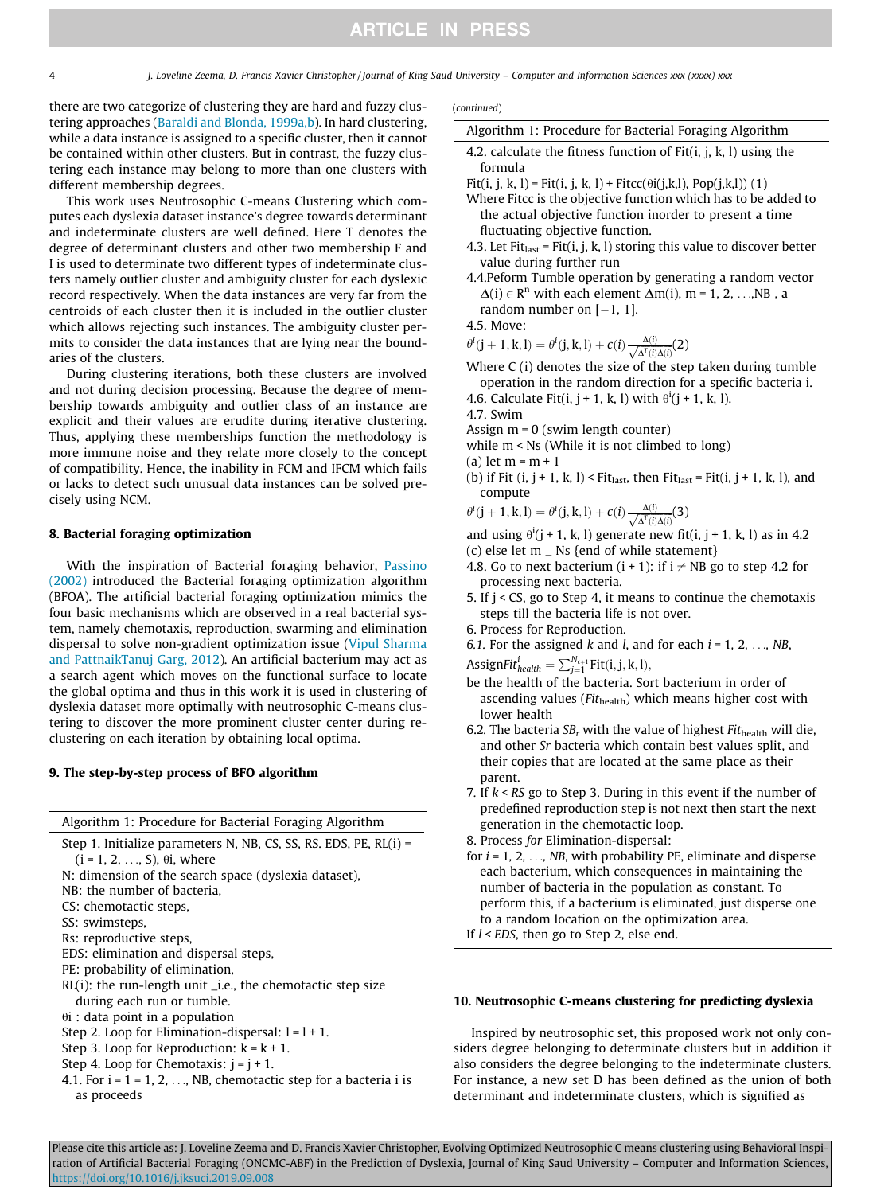there are two categorize of clustering they are hard and fuzzy clustering approaches ([Baraldi and Blonda, 1999a,b](#page-5-0)). In hard clustering, while a data instance is assigned to a specific cluster, then it cannot be contained within other clusters. But in contrast, the fuzzy clustering each instance may belong to more than one clusters with different membership degrees.

This work uses Neutrosophic C-means Clustering which computes each dyslexia dataset instance's degree towards determinant and indeterminate clusters are well defined. Here T denotes the degree of determinant clusters and other two membership F and I is used to determinate two different types of indeterminate clusters namely outlier cluster and ambiguity cluster for each dyslexic record respectively. When the data instances are very far from the centroids of each cluster then it is included in the outlier cluster which allows rejecting such instances. The ambiguity cluster permits to consider the data instances that are lying near the boundaries of the clusters.

During clustering iterations, both these clusters are involved and not during decision processing. Because the degree of membership towards ambiguity and outlier class of an instance are explicit and their values are erudite during iterative clustering. Thus, applying these memberships function the methodology is more immune noise and they relate more closely to the concept of compatibility. Hence, the inability in FCM and IFCM which fails or lacks to detect such unusual data instances can be solved precisely using NCM.

### 8. Bacterial foraging optimization

With the inspiration of Bacterial foraging behavior, [Passino](#page-5-0) [\(2002\)](#page-5-0) introduced the Bacterial foraging optimization algorithm (BFOA). The artificial bacterial foraging optimization mimics the four basic mechanisms which are observed in a real bacterial system, namely chemotaxis, reproduction, swarming and elimination dispersal to solve non-gradient optimization issue ([Vipul Sharma](#page-6-0) [and PattnaikTanuj Garg, 2012](#page-6-0)). An artificial bacterium may act as a search agent which moves on the functional surface to locate the global optima and thus in this work it is used in clustering of dyslexia dataset more optimally with neutrosophic C-means clustering to discover the more prominent cluster center during reclustering on each iteration by obtaining local optima.

#### 9. The step-by-step process of BFO algorithm

| Algorithm 1: Procedure for Bacterial Foraging Algorithm                                                       |
|---------------------------------------------------------------------------------------------------------------|
| Step 1. Initialize parameters N, NB, CS, SS, RS. EDS, PE, $RL(i)$ =<br>$(i = 1, 2, , S)$ , $\theta i$ , where |
| N: dimension of the search space (dyslexia dataset),                                                          |
| NB: the number of bacteria,                                                                                   |
| CS: chemotactic steps,                                                                                        |
| SS: swimsteps,                                                                                                |
| Rs: reproductive steps,                                                                                       |
| EDS: elimination and dispersal steps,                                                                         |
| PE: probability of elimination,                                                                               |
| $RL(i)$ : the run-length unit _i.e., the chemotactic step size                                                |
| during each run or tumble.                                                                                    |
| $\theta$ i : data point in a population                                                                       |
| Step 2. Loop for Elimination-dispersal: $l = l + 1$ .                                                         |
| Step 3. Loop for Reproduction: $k = k + 1$ .                                                                  |
| Step 4. Loop for Chemotaxis: $i = j + 1$ .                                                                    |
| 4.1. For $i = 1 = 1, 2, \ldots$ , NB, chemotactic step for a bacteria i is                                    |
| as proceeds                                                                                                   |
|                                                                                                               |

|  | (continued) |
|--|-------------|
|  |             |

| Algorithm 1: Procedure for Bacterial Foraging Algorithm |  |
|---------------------------------------------------------|--|
|---------------------------------------------------------|--|

- 4.2. calculate the fitness function of  $Fit(i, j, k, l)$  using the formula
- $Fit(i, j, k, l) = Fit(i, j, k, l) + Fitcc(θi(j,k,l), Pop(j,k,l))$  (1)
- Where Fitcc is the objective function which has to be added to the actual objective function inorder to present a time fluctuating objective function.
- 4.3. Let Fit $_{last}$  = Fit(i, j, k, l) storing this value to discover better value during further run
- 4.4.Peform Tumble operation by generating a random vector  $\Delta(i) \in R^n$  with each element  $\Delta m(i)$ , m = 1, 2, ...,NB, a random number on  $[-1, 1]$ .

4.5. Move:

$$
\theta^{i}(j+1,k,l) = \theta^{i}(j,k,l) + c(i) \frac{\Delta(i)}{\sqrt{\Delta^{T}(i)\Delta(i)}}(2)
$$

Where C (i) denotes the size of the step taken during tumble operation in the random direction for a specific bacteria i.

4.6. Calculate Fit(i, j + 1, k, l) with  $\theta^{i}(j + 1, k, l)$ .

4.7. Swim

Assign m = 0 (swim length counter)

- while m < Ns (While it is not climbed to long)
- (a) let  $m = m + 1$
- (b) if Fit  $(i, j + 1, k, l) <$  Fit<sub>last</sub>, then Fit<sub>last</sub> = Fit $(i, j + 1, k, l)$ , and compute

$$
\theta^i(j+1,k,l)=\theta^i(j,k,l)+c(i)\tfrac{\Delta(i)}{\sqrt{\Delta^T(i)\Delta(i)}}(3)
$$

and using  $\theta^{i}(j + 1, k, l)$  generate new fit(i, j + 1, k, l) as in 4.2

- (c) else let m \_ Ns {end of while statement}
- 4.8. Go to next bacterium  $(i + 1)$ : if  $i \neq NB$  go to step 4.2 for processing next bacteria.
- 5. If  $i <$  CS, go to Step 4, it means to continue the chemotaxis steps till the bacteria life is not over.
- 6. Process for Reproduction.

6.1. For the assigned k and l, and for each  $i = 1, 2, \ldots, NB$ ,

Assign $Fit_{health}^i = \sum_{j=1}^{N_{c+1}} Fit(i, j, k, l),$ 

- be the health of the bacteria. Sort bacterium in order of ascending values ( $Fit<sub>health</sub>$ ) which means higher cost with lower health
- 6.2. The bacteria  $SB<sub>r</sub>$  with the value of highest Fit<sub>health</sub> will die, and other Sr bacteria which contain best values split, and their copies that are located at the same place as their parent.
- 7. If  $k < RS$  go to Step 3. During in this event if the number of predefined reproduction step is not next then start the next generation in the chemotactic loop.
- 8. Process for Elimination-dispersal:
- for  $i = 1, 2, \ldots$ , NB, with probability PE, eliminate and disperse each bacterium, which consequences in maintaining the number of bacteria in the population as constant. To perform this, if a bacterium is eliminated, just disperse one to a random location on the optimization area.
- If  $l$  < EDS, then go to Step 2, else end.

#### 10. Neutrosophic C-means clustering for predicting dyslexia

Inspired by neutrosophic set, this proposed work not only considers degree belonging to determinate clusters but in addition it also considers the degree belonging to the indeterminate clusters. For instance, a new set D has been defined as the union of both determinant and indeterminate clusters, which is signified as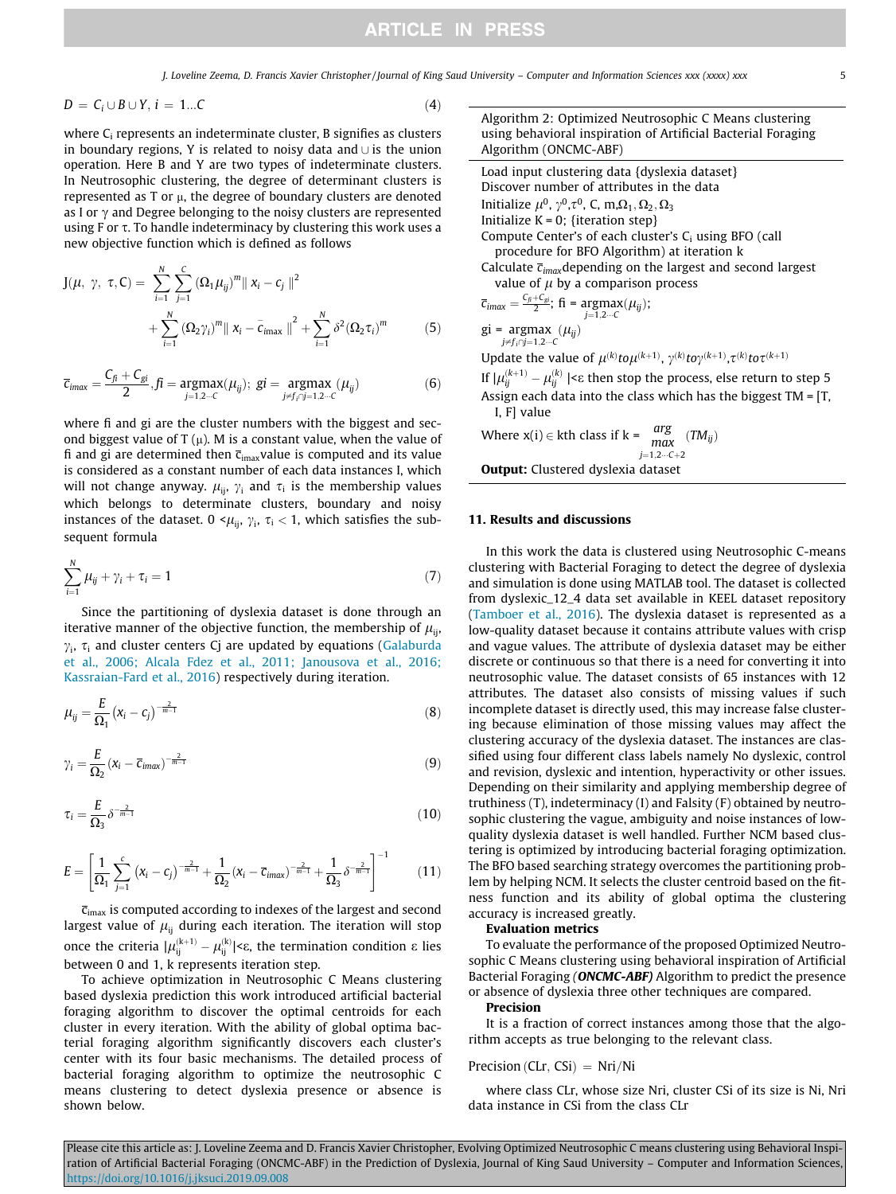$$
D = C_i \cup B \cup Y, i = 1...C \tag{4}
$$

where C<sub>i</sub> represents an indeterminate cluster, B signifies as clusters in boundary regions, Y is related to noisy data and  $\cup$  is the union operation. Here B and Y are two types of indeterminate clusters. In Neutrosophic clustering, the degree of determinant clusters is represented as T or  $\mu$ , the degree of boundary clusters are denoted as I or  $\gamma$  and Degree belonging to the noisy clusters are represented using  $F$  or  $\tau$ . To handle indeterminacy by clustering this work uses a new objective function which is defined as follows

$$
J(\mu, \gamma, \tau, C) = \sum_{i=1}^{N} \sum_{j=1}^{C} (\Omega_1 \mu_{ij})^m ||x_i - c_j||^2
$$
  
+ 
$$
\sum_{i=1}^{N} (\Omega_2 \gamma_i)^m ||x_i - \bar{c}_{i_{max}}||^2 + \sum_{i=1}^{N} \delta^2 (\Omega_2 \tau_i)^m
$$
(5)

$$
\overline{c}_{imax} = \frac{C_{fi} + C_{gi}}{2}, fi = \underset{j=1,2\cdots C}{\text{argmax}} (\mu_{ij}); \ g i = \underset{j \neq f_i \cap j=1,2\cdots C}{\text{argmax}} (\mu_{ij})
$$
(6)

where fi and gi are the cluster numbers with the biggest and second biggest value of T  $(\mu)$ . M is a constant value, when the value of fi and gi are determined then  $\overline{c}_{imax}$ value is computed and its value is considered as a constant number of each data instances I, which will not change anyway.  $\mu_{ii}$ ,  $\gamma_i$  and  $\tau_i$  is the membership values which belongs to determinate clusters, boundary and noisy instances of the dataset. 0 < $\mu_{ij}$ ,  $\gamma_i$ ,  $\tau_i$  < 1, which satisfies the subsequent formula

$$
\sum_{i=1}^{N} \mu_{ij} + \gamma_i + \tau_i = 1 \tag{7}
$$

Since the partitioning of dyslexia dataset is done through an iterative manner of the objective function, the membership of  $\mu_{ii}$ ,  $\gamma_i$ ,  $\tau_i$  and cluster centers Cj are updated by equations ([Galaburda](#page-5-0) [et al., 2006; Alcala Fdez et al., 2011; Janousova et al., 2016;](#page-5-0) [Kassraian-Fard et al., 2016](#page-5-0)) respectively during iteration.

$$
\mu_{ij} = \frac{E}{\Omega_1} (x_i - c_j)^{-\frac{2}{m-1}}
$$
\n(8)

$$
\gamma_i = \frac{E}{\Omega_2} (x_i - \overline{c}_{imax})^{-\frac{2}{m-1}}
$$
\n(9)

$$
\tau_i = \frac{E}{\Omega_3} \delta^{-\frac{2}{m-1}} \tag{10}
$$

$$
E = \left[\frac{1}{\Omega_1} \sum_{j=1}^{c} (x_i - c_j)^{-\frac{2}{m-1}} + \frac{1}{\Omega_2} (x_i - \overline{c}_{imax})^{-\frac{2}{m-1}} + \frac{1}{\Omega_3} \delta^{-\frac{2}{m-1}}\right]^{-1}
$$
(11)

 $\overline{c}_{imax}$  is computed according to indexes of the largest and second largest value of  $\mu_{ij}$  during each iteration. The iteration will stop once the criteria  $|\mu_{ij}^{(k+1)} - \mu_{ij}^{(k)}| < \varepsilon$ , the termination condition  $\varepsilon$  lies between 0 and 1, k represents iteration step.

To achieve optimization in Neutrosophic C Means clustering based dyslexia prediction this work introduced artificial bacterial foraging algorithm to discover the optimal centroids for each cluster in every iteration. With the ability of global optima bacterial foraging algorithm significantly discovers each cluster's center with its four basic mechanisms. The detailed process of bacterial foraging algorithm to optimize the neutrosophic C means clustering to detect dyslexia presence or absence is shown below.

Algorithm 2: Optimized Neutrosophic C Means clustering using behavioral inspiration of Artificial Bacterial Foraging Algorithm (ONCMC-ABF)

Load input clustering data {dyslexia dataset} Discover number of attributes in the data Initialize  $\mu^0$ ,  $\gamma^0$ ,  $\tau^0$ , C, m,  $\Omega_1$ ,  $\Omega_2$ ,  $\Omega_3$ Initialize  $K = 0$ ; {iteration step} Compute Center's of each cluster's  $C_i$  using BFO (call procedure for BFO Algorithm) at iteration k Calculate  $\overline{c}_{imax}$ depending on the largest and second largest value of  $\mu$  by a comparison process  $\overline{c}_{imax} = \frac{C_{\overline{f}} + C_{gi}}{2}$ ; fi = argmax $(\mu_{ij})$ ; gi = argmax argmax  $(\mu_{ij})$ <br>j≠f<sub>i</sub> $\cap$ j=1,2…C Update the value of  $\mu^{(k)}$ to $\mu^{(k+1)}$ ,  $\gamma^{(k)}$ to $\gamma^{(k+1)}$ , $\tau^{(k)}$ to $\tau^{(k+1)}$ If  $|\mu_{ij}^{(k+1)} - \mu_{ij}^{(k)}|$  <e then stop the process, else return to step 5

Assign each data into the class which has the biggest TM = [T, I, F] value

Where  $x(i) \in k$ th class if  $k = \frac{arg}{max}$  (TM<sub>ij</sub>)  $i=1,2...C+2$ **Output:** Clustered dyslexia dataset

#### 11. Results and discussions

In this work the data is clustered using Neutrosophic C-means clustering with Bacterial Foraging to detect the degree of dyslexia and simulation is done using MATLAB tool. The dataset is collected from dyslexic\_12\_4 data set available in KEEL dataset repository ([Tamboer et al., 2016](#page-6-0)). The dyslexia dataset is represented as a low-quality dataset because it contains attribute values with crisp and vague values. The attribute of dyslexia dataset may be either discrete or continuous so that there is a need for converting it into neutrosophic value. The dataset consists of 65 instances with 12 attributes. The dataset also consists of missing values if such incomplete dataset is directly used, this may increase false clustering because elimination of those missing values may affect the clustering accuracy of the dyslexia dataset. The instances are classified using four different class labels namely No dyslexic, control and revision, dyslexic and intention, hyperactivity or other issues. Depending on their similarity and applying membership degree of truthiness (T), indeterminacy (I) and Falsity (F) obtained by neutrosophic clustering the vague, ambiguity and noise instances of lowquality dyslexia dataset is well handled. Further NCM based clustering is optimized by introducing bacterial foraging optimization. The BFO based searching strategy overcomes the partitioning problem by helping NCM. It selects the cluster centroid based on the fitness function and its ability of global optima the clustering accuracy is increased greatly.

#### Evaluation metrics

To evaluate the performance of the proposed Optimized Neutrosophic C Means clustering using behavioral inspiration of Artificial Bacterial Foraging (ONCMC-ABF) Algorithm to predict the presence or absence of dyslexia three other techniques are compared.

#### Precision

It is a fraction of correct instances among those that the algorithm accepts as true belonging to the relevant class.

$$
Precision(CLr, CSi) = Nri/Ni
$$

where class CLr, whose size Nri, cluster CSi of its size is Ni, Nri data instance in CSi from the class CLr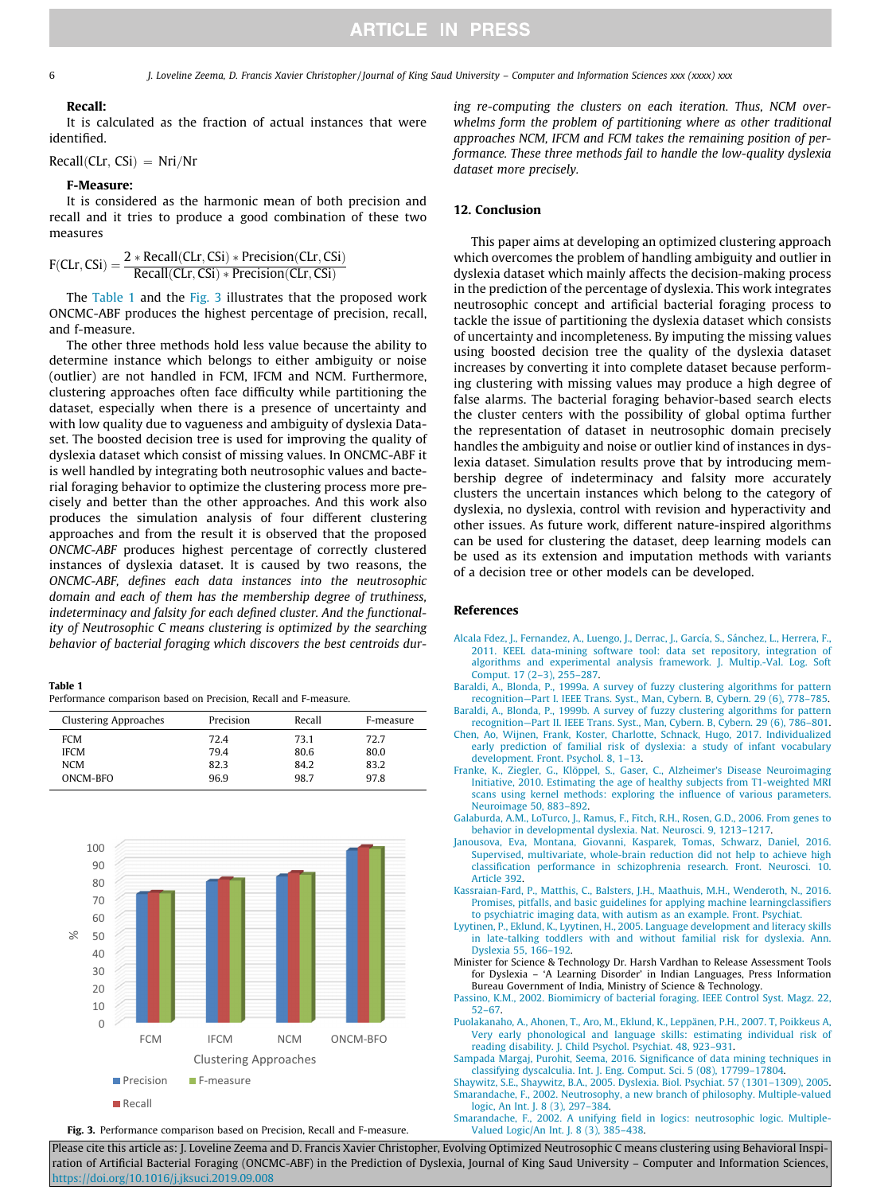#### <span id="page-5-0"></span>Recall:

It is calculated as the fraction of actual instances that were identified.

 $Recall (CLr, CSi) = Nri/Nr$ 

#### F-Measure:

It is considered as the harmonic mean of both precision and recall and it tries to produce a good combination of these two measures

$$
F(Clr, CSi) = \frac{2 * Recall(CLr, CSi) * Precision(CLr, CSi)}{Recall(CLr, CSi) * Precision(CLr, CSi)}
$$

The Table 1 and the Fig. 3 illustrates that the proposed work ONCMC-ABF produces the highest percentage of precision, recall, and f-measure.

The other three methods hold less value because the ability to determine instance which belongs to either ambiguity or noise (outlier) are not handled in FCM, IFCM and NCM. Furthermore, clustering approaches often face difficulty while partitioning the dataset, especially when there is a presence of uncertainty and with low quality due to vagueness and ambiguity of dyslexia Dataset. The boosted decision tree is used for improving the quality of dyslexia dataset which consist of missing values. In ONCMC-ABF it is well handled by integrating both neutrosophic values and bacterial foraging behavior to optimize the clustering process more precisely and better than the other approaches. And this work also produces the simulation analysis of four different clustering approaches and from the result it is observed that the proposed ONCMC-ABF produces highest percentage of correctly clustered instances of dyslexia dataset. It is caused by two reasons, the ONCMC-ABF, defines each data instances into the neutrosophic domain and each of them has the membership degree of truthiness, indeterminacy and falsity for each defined cluster. And the functionality of Neutrosophic C means clustering is optimized by the searching behavior of bacterial foraging which discovers the best centroids dur-

#### Table 1

Performance comparison based on Precision, Recall and F-measure.

| Clustering Approaches | Precision | Recall | F-measure |
|-----------------------|-----------|--------|-----------|
| <b>FCM</b>            | 72.4      | 73.1   | 72.7      |
| <b>IFCM</b>           | 79.4      | 80.6   | 80.0      |
| <b>NCM</b>            | 82.3      | 84.2   | 83.2      |
| ONCM-BFO              | 96.9      | 98.7   | 97.8      |



Fig. 3. Performance comparison based on Precision, Recall and F-measure.

ing re-computing the clusters on each iteration. Thus, NCM overwhelms form the problem of partitioning where as other traditional approaches NCM, IFCM and FCM takes the remaining position of performance. These three methods fail to handle the low-quality dyslexia dataset more precisely.

#### 12. Conclusion

This paper aims at developing an optimized clustering approach which overcomes the problem of handling ambiguity and outlier in dyslexia dataset which mainly affects the decision-making process in the prediction of the percentage of dyslexia. This work integrates neutrosophic concept and artificial bacterial foraging process to tackle the issue of partitioning the dyslexia dataset which consists of uncertainty and incompleteness. By imputing the missing values using boosted decision tree the quality of the dyslexia dataset increases by converting it into complete dataset because performing clustering with missing values may produce a high degree of false alarms. The bacterial foraging behavior-based search elects the cluster centers with the possibility of global optima further the representation of dataset in neutrosophic domain precisely handles the ambiguity and noise or outlier kind of instances in dyslexia dataset. Simulation results prove that by introducing membership degree of indeterminacy and falsity more accurately clusters the uncertain instances which belong to the category of dyslexia, no dyslexia, control with revision and hyperactivity and other issues. As future work, different nature-inspired algorithms can be used for clustering the dataset, deep learning models can be used as its extension and imputation methods with variants of a decision tree or other models can be developed.

#### References

- [Alcala Fdez, J., Fernandez, A., Luengo, J., Derrac, J., García, S., Sánchez, L., Herrera, F.,](http://refhub.elsevier.com/S1319-1578(19)30306-4/h0005) [2011. KEEL data-mining software tool: data set repository, integration of](http://refhub.elsevier.com/S1319-1578(19)30306-4/h0005) [algorithms and experimental analysis framework. J. Multip.-Val. Log. Soft](http://refhub.elsevier.com/S1319-1578(19)30306-4/h0005) [Comput. 17 \(2–3\), 255–287.](http://refhub.elsevier.com/S1319-1578(19)30306-4/h0005)
- [Baraldi, A., Blonda, P., 1999a. A survey of fuzzy clustering algorithms for pattern](http://refhub.elsevier.com/S1319-1578(19)30306-4/h0010) [recognition—Part I. IEEE Trans. Syst., Man, Cybern. B, Cybern. 29 \(6\), 778–785](http://refhub.elsevier.com/S1319-1578(19)30306-4/h0010).
- [Baraldi, A., Blonda, P., 1999b. A survey of fuzzy clustering algorithms for pattern](http://refhub.elsevier.com/S1319-1578(19)30306-4/h0015) [recognition—Part II. IEEE Trans. Syst., Man, Cybern. B, Cybern. 29 \(6\), 786–801](http://refhub.elsevier.com/S1319-1578(19)30306-4/h0015).
- [Chen, Ao, Wijnen, Frank, Koster, Charlotte, Schnack, Hugo, 2017. Individualized](http://refhub.elsevier.com/S1319-1578(19)30306-4/h0020) [early prediction of familial risk of dyslexia: a study of infant vocabulary](http://refhub.elsevier.com/S1319-1578(19)30306-4/h0020) [development. Front. Psychol. 8, 1–13](http://refhub.elsevier.com/S1319-1578(19)30306-4/h0020).
- [Franke, K., Ziegler, G., Klöppel, S., Gaser, C., Alzheimer's Disease Neuroimaging](http://refhub.elsevier.com/S1319-1578(19)30306-4/h0025) [Initiative, 2010. Estimating the age of healthy subjects from T1-weighted MRI](http://refhub.elsevier.com/S1319-1578(19)30306-4/h0025) [scans using kernel methods: exploring the influence of various parameters.](http://refhub.elsevier.com/S1319-1578(19)30306-4/h0025) [Neuroimage 50, 883–892.](http://refhub.elsevier.com/S1319-1578(19)30306-4/h0025)
- [Galaburda, A.M., LoTurco, J., Ramus, F., Fitch, R.H., Rosen, G.D., 2006. From genes to](http://refhub.elsevier.com/S1319-1578(19)30306-4/h0030) [behavior in developmental dyslexia. Nat. Neurosci. 9, 1213–1217](http://refhub.elsevier.com/S1319-1578(19)30306-4/h0030).
- [Janousova, Eva, Montana, Giovanni, Kasparek, Tomas, Schwarz, Daniel, 2016.](http://refhub.elsevier.com/S1319-1578(19)30306-4/h0035) [Supervised, multivariate, whole-brain reduction did not help to achieve high](http://refhub.elsevier.com/S1319-1578(19)30306-4/h0035) [classification performance in schizophrenia research. Front. Neurosci. 10.](http://refhub.elsevier.com/S1319-1578(19)30306-4/h0035) [Article 392](http://refhub.elsevier.com/S1319-1578(19)30306-4/h0035).
- [Kassraian-Fard, P., Matthis, C., Balsters, J.H., Maathuis, M.H., Wenderoth, N., 2016.](http://refhub.elsevier.com/S1319-1578(19)30306-4/h0040) [Promises, pitfalls, and basic guidelines for applying machine learningclassifiers](http://refhub.elsevier.com/S1319-1578(19)30306-4/h0040) [to psychiatric imaging data, with autism as an example. Front. Psychiat.](http://refhub.elsevier.com/S1319-1578(19)30306-4/h0040)
- [Lyytinen, P., Eklund, K., Lyytinen, H., 2005. Language development and literacy skills](http://refhub.elsevier.com/S1319-1578(19)30306-4/h0045) [in late-talking toddlers with and without familial risk for dyslexia. Ann.](http://refhub.elsevier.com/S1319-1578(19)30306-4/h0045) [Dyslexia 55, 166–192](http://refhub.elsevier.com/S1319-1578(19)30306-4/h0045).
- Minister for Science & Technology Dr. Harsh Vardhan to Release Assessment Tools for Dyslexia – 'A Learning Disorder' in Indian Languages, Press Information Bureau Government of India, Ministry of Science & Technology.
- [Passino, K.M., 2002. Biomimicry of bacterial foraging. IEEE Control Syst. Magz. 22,](http://refhub.elsevier.com/S1319-1578(19)30306-4/h0055)
- [52–67.](http://refhub.elsevier.com/S1319-1578(19)30306-4/h0055) [Puolakanaho, A., Ahonen, T., Aro, M., Eklund, K., Leppänen, P.H., 2007. T, Poikkeus A,](http://refhub.elsevier.com/S1319-1578(19)30306-4/h0060) [Very early phonological and language skills: estimating individual risk of](http://refhub.elsevier.com/S1319-1578(19)30306-4/h0060) [reading disability. J. Child Psychol. Psychiat. 48, 923–931](http://refhub.elsevier.com/S1319-1578(19)30306-4/h0060).
- [Sampada Margaj, Purohit, Seema, 2016. Significance of data mining techniques in](http://refhub.elsevier.com/S1319-1578(19)30306-4/h0065) [classifying dyscalculia. Int. J. Eng. Comput. Sci. 5 \(08\), 17799–17804](http://refhub.elsevier.com/S1319-1578(19)30306-4/h0065).
- [Shaywitz, S.E., Shaywitz, B.A., 2005. Dyslexia. Biol. Psychiat. 57 \(1301–1309\), 2005](http://refhub.elsevier.com/S1319-1578(19)30306-4/h0070). [Smarandache, F., 2002. Neutrosophy, a new branch of philosophy. Multiple-valued](http://refhub.elsevier.com/S1319-1578(19)30306-4/h0075) [logic, An Int. J. 8 \(3\), 297–384.](http://refhub.elsevier.com/S1319-1578(19)30306-4/h0075)
- [Smarandache, F., 2002. A unifying field in logics: neutrosophic logic. Multiple-](http://refhub.elsevier.com/S1319-1578(19)30306-4/h0080)[Valued Logic/An Int. J. 8 \(3\), 385–438.](http://refhub.elsevier.com/S1319-1578(19)30306-4/h0080)